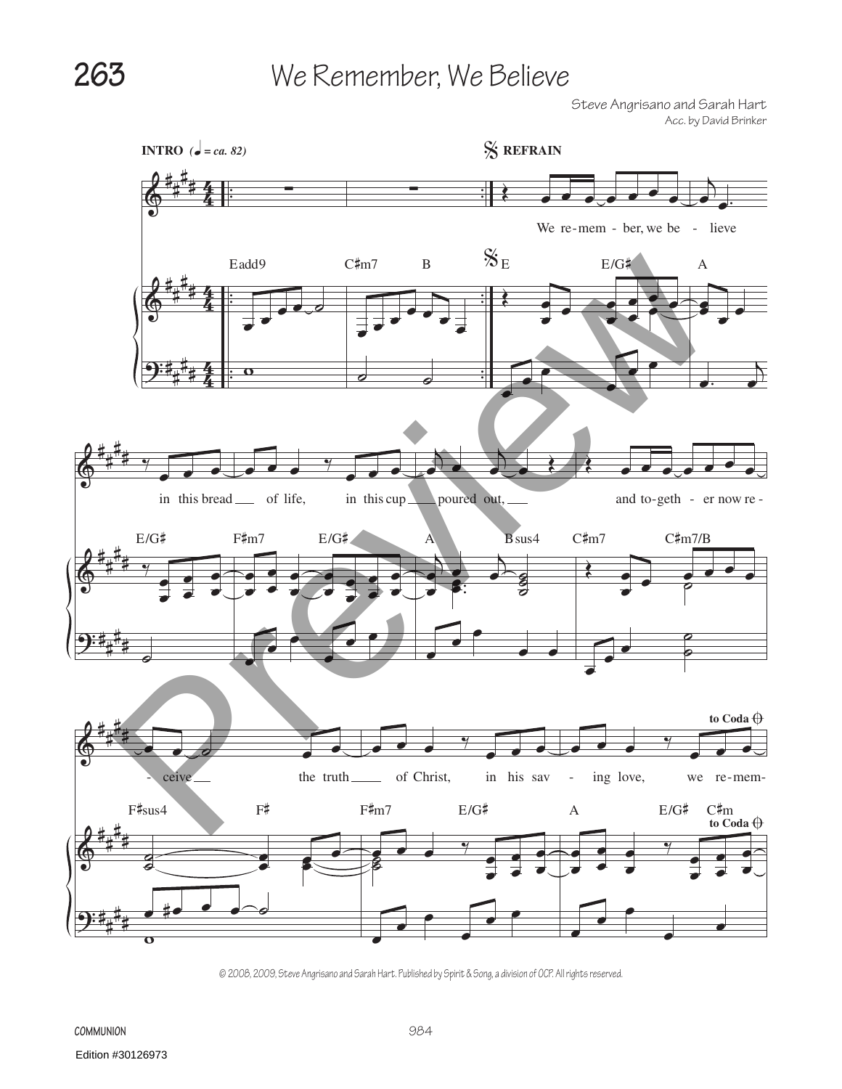Steve Angrisano and Sarah Hart Acc. by David Brinker



© 2008, 2009, Steve Angrisano and Sarah Hart. Published by Spirit & Song, a division of OCP. All rights reserved.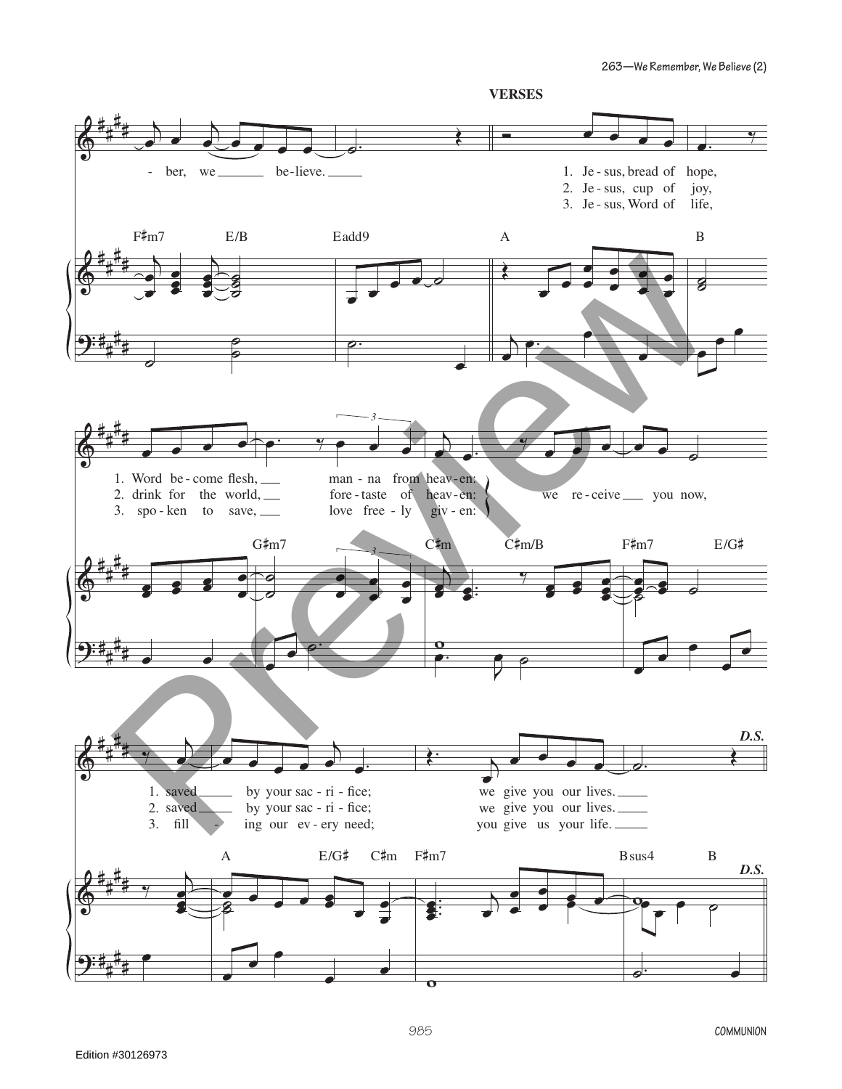